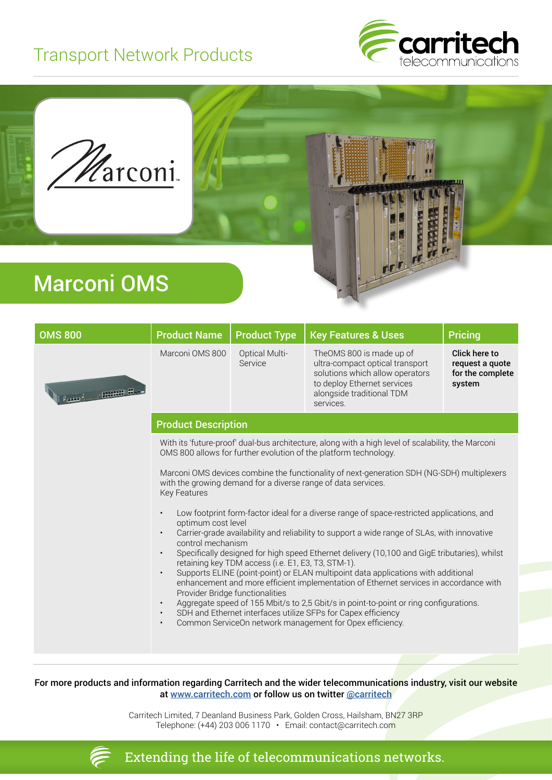## Transport Network Products





## Marconi OMS

| <b>OMS 800</b>                                                                           | <b>Product Name</b>                                                                                                                                                                                                                                       | <b>Product Type</b>              | <b>Key Features &amp; Uses</b>                                                                                                                                          | <b>Pricing</b>                                                 |  |  |  |
|------------------------------------------------------------------------------------------|-----------------------------------------------------------------------------------------------------------------------------------------------------------------------------------------------------------------------------------------------------------|----------------------------------|-------------------------------------------------------------------------------------------------------------------------------------------------------------------------|----------------------------------------------------------------|--|--|--|
| <b>Committee Constanting Committee Committee Committee Committee Committee Committee</b> | Marconi OMS 800                                                                                                                                                                                                                                           | <b>Optical Multi-</b><br>Service | TheOMS 800 is made up of<br>ultra-compact optical transport<br>solutions which allow operators<br>to deploy Ethernet services<br>alongside traditional TDM<br>services. | Click here to<br>request a quote<br>for the complete<br>system |  |  |  |
|                                                                                          | <b>Product Description</b>                                                                                                                                                                                                                                |                                  |                                                                                                                                                                         |                                                                |  |  |  |
|                                                                                          | With its 'future-proof' dual-bus architecture, along with a high level of scalability, the Marconi<br>OMS 800 allows for further evolution of the platform technology.                                                                                    |                                  |                                                                                                                                                                         |                                                                |  |  |  |
|                                                                                          | Marconi OMS devices combine the functionality of next-generation SDH (NG-SDH) multiplexers<br>with the growing demand for a diverse range of data services.<br><b>Key Features</b>                                                                        |                                  |                                                                                                                                                                         |                                                                |  |  |  |
|                                                                                          | Low footprint form-factor ideal for a diverse range of space-restricted applications, and<br>optimum cost level<br>Carrier-grade availability and reliability to support a wide range of SLAs, with innovative<br>$\bullet$<br>control mechanism          |                                  |                                                                                                                                                                         |                                                                |  |  |  |
|                                                                                          | Specifically designed for high speed Ethernet delivery (10,100 and GigE tributaries), whilst<br>$\bullet$<br>retaining key TDM access (i.e. E1, E3, T3, STM-1).                                                                                           |                                  |                                                                                                                                                                         |                                                                |  |  |  |
|                                                                                          | Supports ELINE (point-point) or ELAN multipoint data applications with additional<br>$\bullet$<br>enhancement and more efficient implementation of Ethernet services in accordance with<br>Provider Bridge functionalities                                |                                  |                                                                                                                                                                         |                                                                |  |  |  |
|                                                                                          | Aggregate speed of 155 Mbit/s to 2,5 Gbit/s in point-to-point or ring configurations.<br>$\bullet$<br>SDH and Ethernet interfaces utilize SFPs for Capex efficiency<br>$\bullet$<br>Common ServiceOn network management for Opex efficiency.<br>$\bullet$ |                                  |                                                                                                                                                                         |                                                                |  |  |  |
|                                                                                          |                                                                                                                                                                                                                                                           |                                  |                                                                                                                                                                         |                                                                |  |  |  |

## For more products and information regarding Carritech and the wider telecommunications industry, visit our website at [www.carritech.com](http://www.carritech.com) or follow us on twitter @carritech

Carritech Limited, 7 Deanland Business Park, Golden Cross, Hailsham, BN27 3RP Telephone: (+44) 203 006 1170 • Email: contact@carritech.com



Extending the life of telecommunications networks.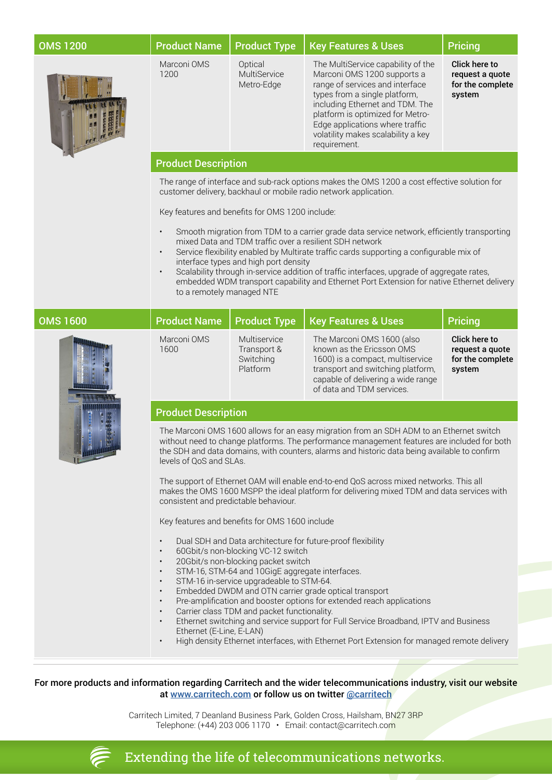| <b>OMS 1200</b> | <b>Product Name</b>                                                                                                                                                                                                                                                                                                                                                                                                                                                                                                                                                                                                                                                                                                                                                                                                                                                                                                                                                                                                                                                                                                                                                                                                                             | <b>Product Type</b>                                  | <b>Key Features &amp; Uses</b>                                                                                                                                                                                                                                                                        | <b>Pricing</b>                                                 |  |  |
|-----------------|-------------------------------------------------------------------------------------------------------------------------------------------------------------------------------------------------------------------------------------------------------------------------------------------------------------------------------------------------------------------------------------------------------------------------------------------------------------------------------------------------------------------------------------------------------------------------------------------------------------------------------------------------------------------------------------------------------------------------------------------------------------------------------------------------------------------------------------------------------------------------------------------------------------------------------------------------------------------------------------------------------------------------------------------------------------------------------------------------------------------------------------------------------------------------------------------------------------------------------------------------|------------------------------------------------------|-------------------------------------------------------------------------------------------------------------------------------------------------------------------------------------------------------------------------------------------------------------------------------------------------------|----------------------------------------------------------------|--|--|
|                 | Marconi OMS<br>1200                                                                                                                                                                                                                                                                                                                                                                                                                                                                                                                                                                                                                                                                                                                                                                                                                                                                                                                                                                                                                                                                                                                                                                                                                             | Optical<br>MultiService<br>Metro-Edge                | The MultiService capability of the<br>Marconi OMS 1200 supports a<br>range of services and interface<br>types from a single platform,<br>including Ethernet and TDM. The<br>platform is optimized for Metro-<br>Edge applications where traffic<br>volatility makes scalability a key<br>requirement. | Click here to<br>request a quote<br>for the complete<br>system |  |  |
|                 | <b>Product Description</b>                                                                                                                                                                                                                                                                                                                                                                                                                                                                                                                                                                                                                                                                                                                                                                                                                                                                                                                                                                                                                                                                                                                                                                                                                      |                                                      |                                                                                                                                                                                                                                                                                                       |                                                                |  |  |
|                 | The range of interface and sub-rack options makes the OMS 1200 a cost effective solution for<br>customer delivery, backhaul or mobile radio network application.                                                                                                                                                                                                                                                                                                                                                                                                                                                                                                                                                                                                                                                                                                                                                                                                                                                                                                                                                                                                                                                                                |                                                      |                                                                                                                                                                                                                                                                                                       |                                                                |  |  |
|                 | Key features and benefits for OMS 1200 include:                                                                                                                                                                                                                                                                                                                                                                                                                                                                                                                                                                                                                                                                                                                                                                                                                                                                                                                                                                                                                                                                                                                                                                                                 |                                                      |                                                                                                                                                                                                                                                                                                       |                                                                |  |  |
|                 | Smooth migration from TDM to a carrier grade data service network, efficiently transporting<br>$\bullet$<br>mixed Data and TDM traffic over a resilient SDH network<br>Service flexibility enabled by Multirate traffic cards supporting a configurable mix of<br>$\bullet$<br>interface types and high port density<br>Scalability through in-service addition of traffic interfaces, upgrade of aggregate rates,<br>$\bullet$<br>embedded WDM transport capability and Ethernet Port Extension for native Ethernet delivery<br>to a remotely managed NTE                                                                                                                                                                                                                                                                                                                                                                                                                                                                                                                                                                                                                                                                                      |                                                      |                                                                                                                                                                                                                                                                                                       |                                                                |  |  |
| <b>OMS 1600</b> | <b>Product Name</b>                                                                                                                                                                                                                                                                                                                                                                                                                                                                                                                                                                                                                                                                                                                                                                                                                                                                                                                                                                                                                                                                                                                                                                                                                             | <b>Product Type</b>                                  | <b>Key Features &amp; Uses</b>                                                                                                                                                                                                                                                                        | <b>Pricing</b>                                                 |  |  |
|                 | Marconi OMS<br>1600                                                                                                                                                                                                                                                                                                                                                                                                                                                                                                                                                                                                                                                                                                                                                                                                                                                                                                                                                                                                                                                                                                                                                                                                                             | Multiservice<br>Transport &<br>Switching<br>Platform | The Marconi OMS 1600 (also<br>known as the Ericsson OMS<br>1600) is a compact, multiservice<br>transport and switching platform,<br>capable of delivering a wide range<br>of data and TDM services.                                                                                                   | Click here to<br>request a quote<br>for the complete<br>system |  |  |
|                 | <b>Product Description</b>                                                                                                                                                                                                                                                                                                                                                                                                                                                                                                                                                                                                                                                                                                                                                                                                                                                                                                                                                                                                                                                                                                                                                                                                                      |                                                      |                                                                                                                                                                                                                                                                                                       |                                                                |  |  |
|                 | The Marconi OMS 1600 allows for an easy migration from an SDH ADM to an Ethernet switch<br>without need to change platforms. The performance management features are included for both<br>the SDH and data domains, with counters, alarms and historic data being available to confirm<br>levels of QoS and SLAs.<br>The support of Ethernet OAM will enable end-to-end QoS across mixed networks. This all<br>makes the OMS 1600 MSPP the ideal platform for delivering mixed TDM and data services with<br>consistent and predictable behaviour.<br>Key features and benefits for OMS 1600 include<br>Dual SDH and Data architecture for future-proof flexibility<br>60Gbit/s non-blocking VC-12 switch<br>20Gbit/s non-blocking packet switch<br>$\bullet$<br>STM-16, STM-64 and 10GigE aggregate interfaces.<br>$\bullet$<br>STM-16 in-service upgradeable to STM-64.<br>$\bullet$<br>Embedded DWDM and OTN carrier grade optical transport<br>$\bullet$<br>Pre-amplification and booster options for extended reach applications<br>$\bullet$<br>Carrier class TDM and packet functionality.<br>$\bullet$<br>Ethernet switching and service support for Full Service Broadband, IPTV and Business<br>$\bullet$<br>Ethernet (E-Line, E-LAN) |                                                      |                                                                                                                                                                                                                                                                                                       |                                                                |  |  |
|                 | $\bullet$                                                                                                                                                                                                                                                                                                                                                                                                                                                                                                                                                                                                                                                                                                                                                                                                                                                                                                                                                                                                                                                                                                                                                                                                                                       |                                                      | High density Ethernet interfaces, with Ethernet Port Extension for managed remote delivery                                                                                                                                                                                                            |                                                                |  |  |

For more products and information regarding Carritech and the wider telecommunications industry, visit our website at [www.carritech.com](http://www.carritech.com) or follow us on twitter @carritech

> Carritech Limited, 7 Deanland Business Park, Golden Cross, Hailsham, BN27 3RP Telephone: (+44) 203 006 1170 • Email: contact@carritech.com